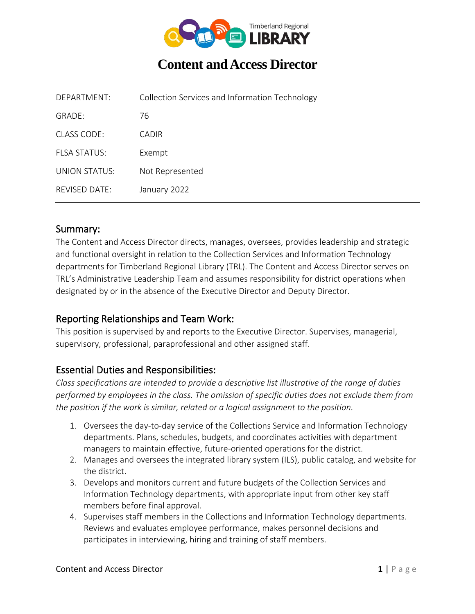

# **Content and Access Director**

| DEPARTMENT:         | Collection Services and Information Technology |
|---------------------|------------------------------------------------|
| GRADE:              | 76                                             |
| CLASS CODE:         | CADIR                                          |
| <b>FLSA STATUS:</b> | Exempt                                         |
| UNION STATUS:       | Not Represented                                |
| REVISED DATE:       | January 2022                                   |

#### Summary:

The Content and Access Director directs, manages, oversees, provides leadership and strategic and functional oversight in relation to the Collection Services and Information Technology departments for Timberland Regional Library (TRL). The Content and Access Director serves on TRL's Administrative Leadership Team and assumes responsibility for district operations when designated by or in the absence of the Executive Director and Deputy Director.

#### Reporting Relationships and Team Work:

This position is supervised by and reports to the Executive Director. Supervises, managerial, supervisory, professional, paraprofessional and other assigned staff.

#### Essential Duties and Responsibilities:

*Class specifications are intended to provide a descriptive list illustrative of the range of duties performed by employees in the class. The omission of specific duties does not exclude them from the position if the work is similar, related or a logical assignment to the position.*

- 1. Oversees the day-to-day service of the Collections Service and Information Technology departments. Plans, schedules, budgets, and coordinates activities with department managers to maintain effective, future-oriented operations for the district.
- 2. Manages and oversees the integrated library system (ILS), public catalog, and website for the district.
- 3. Develops and monitors current and future budgets of the Collection Services and Information Technology departments, with appropriate input from other key staff members before final approval.
- 4. Supervises staff members in the Collections and Information Technology departments. Reviews and evaluates employee performance, makes personnel decisions and participates in interviewing, hiring and training of staff members.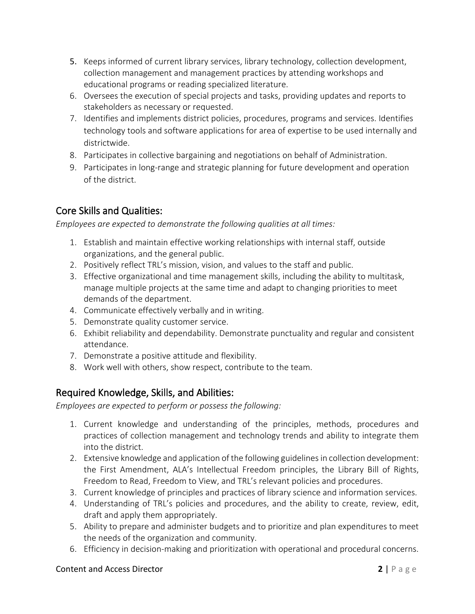- 5. Keeps informed of current library services, library technology, collection development, collection management and management practices by attending workshops and educational programs or reading specialized literature.
- 6. Oversees the execution of special projects and tasks, providing updates and reports to stakeholders as necessary or requested.
- 7. Identifies and implements district policies, procedures, programs and services. Identifies technology tools and software applications for area of expertise to be used internally and districtwide.
- 8. Participates in collective bargaining and negotiations on behalf of Administration.
- 9. Participates in long-range and strategic planning for future development and operation of the district.

# Core Skills and Qualities:

*Employees are expected to demonstrate the following qualities at all times:*

- 1. Establish and maintain effective working relationships with internal staff, outside organizations, and the general public.
- 2. Positively reflect TRL's mission, vision, and values to the staff and public.
- 3. Effective organizational and time management skills, including the ability to multitask, manage multiple projects at the same time and adapt to changing priorities to meet demands of the department.
- 4. Communicate effectively verbally and in writing.
- 5. Demonstrate quality customer service.
- 6. Exhibit reliability and dependability. Demonstrate punctuality and regular and consistent attendance.
- 7. Demonstrate a positive attitude and flexibility.
- 8. Work well with others, show respect, contribute to the team.

# Required Knowledge, Skills, and Abilities:

*Employees are expected to perform or possess the following:*

- 1. Current knowledge and understanding of the principles, methods, procedures and practices of collection management and technology trends and ability to integrate them into the district.
- 2. Extensive knowledge and application of the following guidelines in collection development: the First Amendment, ALA's Intellectual Freedom principles, the Library Bill of Rights, Freedom to Read, Freedom to View, and TRL's relevant policies and procedures.
- 3. Current knowledge of principles and practices of library science and information services.
- 4. Understanding of TRL's policies and procedures, and the ability to create, review, edit, draft and apply them appropriately.
- 5. Ability to prepare and administer budgets and to prioritize and plan expenditures to meet the needs of the organization and community.
- 6. Efficiency in decision-making and prioritization with operational and procedural concerns.

#### **Content and Access Director 2** | Page